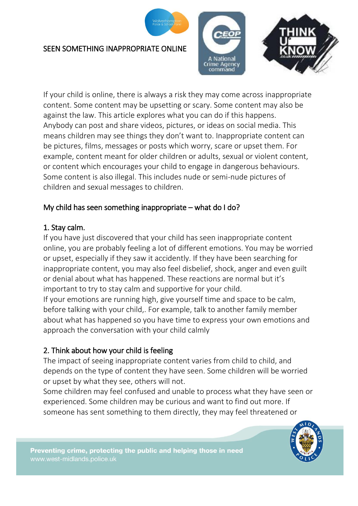

#### SEEN SOMETHING INAPPROPRIATE ONLINE



If your child is online, there is always a risk they may come across inappropriate content. Some content may be upsetting or scary. Some content may also be against the law. This article explores what you can do if this happens. Anybody can post and share videos, pictures, or ideas on social media. This means children may see things they don't want to. Inappropriate content can be pictures, films, messages or posts which worry, scare or upset them. For example, content meant for older children or adults, sexual or violent content, or content which encourages your child to engage in dangerous behaviours. Some content is also illegal. This includes nude or semi-nude pictures of children and sexual messages to children.

## My child has seen something inappropriate – what do I do?

## 1. Stay calm.

If you have just discovered that your child has seen inappropriate content online, you are probably feeling a lot of different emotions. You may be worried or upset, especially if they saw it accidently. If they have been searching for inappropriate content, you may also feel disbelief, shock, anger and even guilt or denial about what has happened. These reactions are normal but it's important to try to stay calm and supportive for your child. If your emotions are running high, give yourself time and space to be calm, before talking with your child,. For example, talk to another family member about what has happened so you have time to express your own emotions and approach the conversation with your child calmly

## 2. Think about how your child is feeling

The impact of seeing inappropriate content varies from child to child, and depends on the type of content they have seen. Some children will be worried or upset by what they see, others will not.

Some children may feel confused and unable to process what they have seen or experienced. Some children may be curious and want to find out more. If someone has sent something to them directly, they may feel threatened or

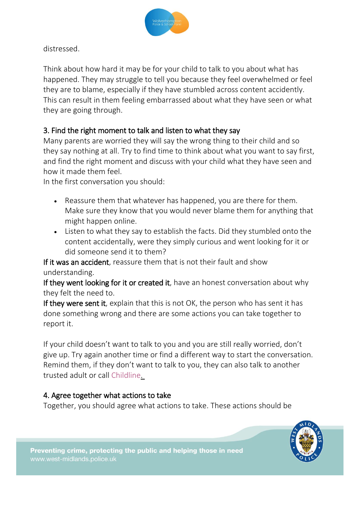

distressed.

Think about how hard it may be for your child to talk to you about what has happened. They may struggle to tell you because they feel overwhelmed or feel they are to blame, especially if they have stumbled across content accidently. This can result in them feeling embarrassed about what they have seen or what they are going through.

# 3. Find the right moment to talk and listen to what they say

Many parents are worried they will say the wrong thing to their child and so they say nothing at all. Try to find time to think about what you want to say first, and find the right moment and discuss with your child what they have seen and how it made them feel.

In the first conversation you should:

- Reassure them that whatever has happened, you are there for them. Make sure they know that you would never blame them for anything that might happen online.
- Listen to what they say to establish the facts. Did they stumbled onto the content accidentally, were they simply curious and went looking for it or did someone send it to them?

If it was an accident, reassure them that is not their fault and show understanding.

If they went looking for it or created it, have an honest conversation about why they felt the need to.

If they were sent it, explain that this is not OK, the person who has sent it has done something wrong and there are some actions you can take together to report it.

If your child doesn't want to talk to you and you are still really worried, don't give up. Try again another time or find a different way to start the conversation. Remind them, if they don't want to talk to you, they can also talk to another trusted adult or call [Childline.](https://www.childline.org.uk/)

## 4. Agree together what actions to take

Together, you should agree what actions to take. These actions should be

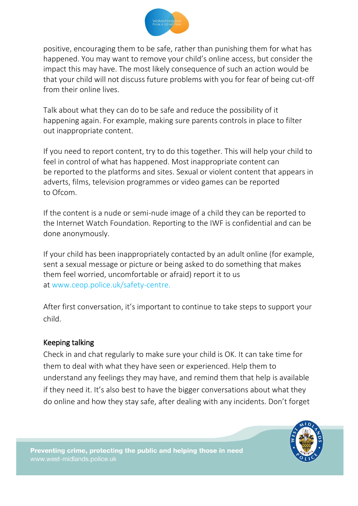

positive, encouraging them to be safe, rather than punishing them for what has happened. You may want to remove your child's online access, but consider the impact this may have. The most likely consequence of such an action would be that your child will not discuss future problems with you for fear of being cut-off from their online lives.

Talk about what they can do to be safe and reduce the possibility of it happening again. For example, making sure [parents controls](https://www.thinkuknow.co.uk/parents/articles/Parental-controls/) in place to filter out inappropriate content.

If you need to report content, try to do this together. This will help your child to feel in control of what has happened. Most inappropriate content can be [reported to the platforms and sites.](https://www.thinkuknow.co.uk/parents/articles/Reporting-to-social-media-sites-/) Sexual or violent content that appears in adverts, films, television programmes or video games can be reported to [Ofcom.](https://www.ofcom.org.uk/tv-radio-and-on-demand/advice-for-consumers/television/protecting-children)

If the content is a nude or semi-nude image of a child they can be reported to the [Internet Watch Foundation.](https://www.iwf.org.uk/) Reporting to the IWF is confidential and can be done anonymously.

If your child has been inappropriately contacted by an adult online (for example, sent a sexual message or picture or being asked to do something that makes them feel worried, uncomfortable or afraid) report it to us at [www.ceop.police.uk/safety-centre.](http://www.ceop.police.uk/Safety-Centre/)

After first conversation, it's important to continue to take steps to support your child.

#### Keeping talking

Check in and chat regularly to make sure your child is OK. It can take time for them to deal with what they have seen or experienced. Help them to understand any feelings they may have, and remind them that help is available if they need it. It's also best to have the bigger conversations about what they do online and how they stay safe, after dealing with any incidents. Don't forget